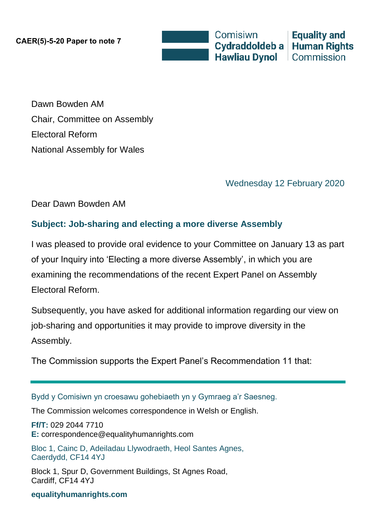Comisiwn Cydraddoldeb a **Hawliau Dynol** 

Dawn Bowden AM Chair, Committee on Assembly Electoral Reform National Assembly for Wales

## Wednesday 12 February 2020

Dear Dawn Bowden AM

## **Subject: Job-sharing and electing a more diverse Assembly**

I was pleased to provide oral evidence to your Committee on January 13 as part of your Inquiry into 'Electing a more diverse Assembly', in which you are examining the recommendations of the recent Expert Panel on Assembly Electoral Reform.

Subsequently, you have asked for additional information regarding our view on job-sharing and opportunities it may provide to improve diversity in the Assembly.

The Commission supports the Expert Panel's Recommendation 11 that:

## Bydd y Comisiwn yn croesawu gohebiaeth yn y Gymraeg a'r Saesneg.

The Commission welcomes correspondence in Welsh or English.

**Ff/T:** 029 2044 7710 **E:** correspondence@equalityhumanrights.com

Bloc 1, Cainc D, Adeiladau Llywodraeth, Heol Santes Agnes, Caerdydd, CF14 4YJ

Block 1, Spur D, Government Buildings, St Agnes Road, Cardiff, CF14 4YJ

**equalityhumanrights.com**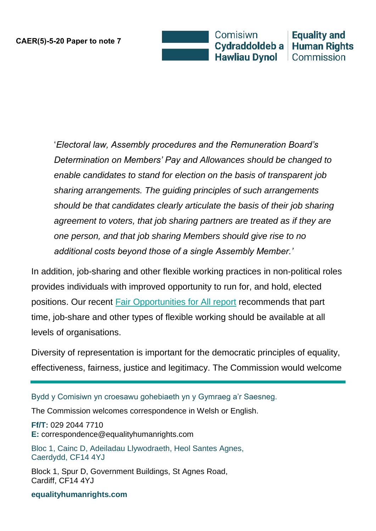Comisiwn Cydraddoldeb a Hawliau Dynol | Commission

'*Electoral law, Assembly procedures and the Remuneration Board's Determination on Members' Pay and Allowances should be changed to enable candidates to stand for election on the basis of transparent job sharing arrangements. The guiding principles of such arrangements should be that candidates clearly articulate the basis of their job sharing agreement to voters, that job sharing partners are treated as if they are one person, and that job sharing Members should give rise to no additional costs beyond those of a single Assembly Member.'*

In addition, job-sharing and other flexible working practices in non-political roles provides individuals with improved opportunity to run for, and hold, elected positions. Our recent [Fair Opportunities for All report](https://www.equalityhumanrights.com/en/publication-download/fair-opportunities-all-strategy-reduce-pay-gaps-britain) recommends that part time, job-share and other types of flexible working should be available at all levels of organisations.

Diversity of representation is important for the democratic principles of equality, effectiveness, fairness, justice and legitimacy. The Commission would welcome

## Bydd y Comisiwn yn croesawu gohebiaeth yn y Gymraeg a'r Saesneg.

The Commission welcomes correspondence in Welsh or English.

**Ff/T:** 029 2044 7710 **E:** correspondence@equalityhumanrights.com

Bloc 1, Cainc D, Adeiladau Llywodraeth, Heol Santes Agnes, Caerdydd, CF14 4YJ

Block 1, Spur D, Government Buildings, St Agnes Road, Cardiff, CF14 4YJ

**equalityhumanrights.com**